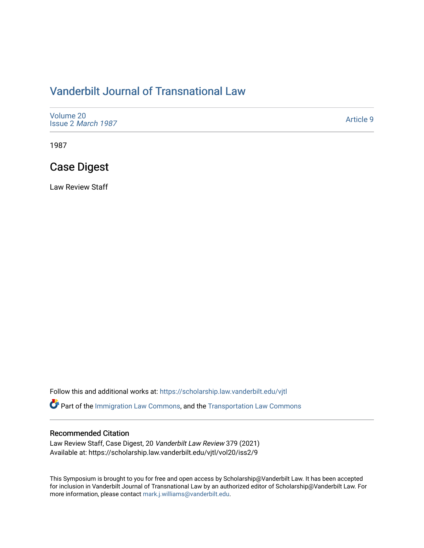# [Vanderbilt Journal of Transnational Law](https://scholarship.law.vanderbilt.edu/vjtl)

| Volume 20<br>Issue 2 March 1987 | Article 9 |
|---------------------------------|-----------|
|---------------------------------|-----------|

1987

# Case Digest

Law Review Staff

Follow this and additional works at: [https://scholarship.law.vanderbilt.edu/vjtl](https://scholarship.law.vanderbilt.edu/vjtl?utm_source=scholarship.law.vanderbilt.edu%2Fvjtl%2Fvol20%2Fiss2%2F9&utm_medium=PDF&utm_campaign=PDFCoverPages) 

**C** Part of the [Immigration Law Commons](http://network.bepress.com/hgg/discipline/604?utm_source=scholarship.law.vanderbilt.edu%2Fvjtl%2Fvol20%2Fiss2%2F9&utm_medium=PDF&utm_campaign=PDFCoverPages), and the [Transportation Law Commons](http://network.bepress.com/hgg/discipline/885?utm_source=scholarship.law.vanderbilt.edu%2Fvjtl%2Fvol20%2Fiss2%2F9&utm_medium=PDF&utm_campaign=PDFCoverPages)

### Recommended Citation

Law Review Staff, Case Digest, 20 Vanderbilt Law Review 379 (2021) Available at: https://scholarship.law.vanderbilt.edu/vjtl/vol20/iss2/9

This Symposium is brought to you for free and open access by Scholarship@Vanderbilt Law. It has been accepted for inclusion in Vanderbilt Journal of Transnational Law by an authorized editor of Scholarship@Vanderbilt Law. For more information, please contact [mark.j.williams@vanderbilt.edu](mailto:mark.j.williams@vanderbilt.edu).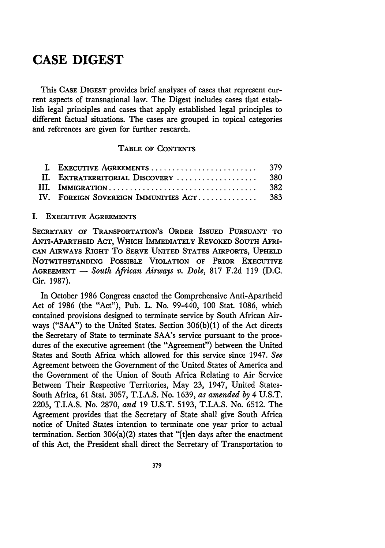# **CASE DIGEST**

This **CASE DIGEST** provides brief analyses of cases that represent current aspects of transnational law. The Digest includes cases that establish legal principles and cases that apply established legal principles to different factual situations. The cases are grouped in topical categories and references are given for further research.

### **TABLE** OF **CONTENTS**

| II. EXTRATERRITORIAL DISCOVERY  380      |       |
|------------------------------------------|-------|
|                                          | - 382 |
| IV. FOREIGN SOVEREIGN IMMUNITIES ACT 383 |       |

#### I. **EXECUTIVE AGREEMENTS**

**SECRETARY OF TRANSPORTATION'S ORDER ISSUED PURSUANT TO ANTI-APARTHEID ACT, WHICH IMMEDIATELY REVOKED SOUTH AFRI-CAN AIRWAYS RIGHT** To **SERVE UNITED** STATES **AIRPORTS, UPHELD NOTWITHSTANDING POSSIBLE VIOLATION OF PRIOR EXECUTIVE AGREEMENT -** *South African Airways v. Dole,* 817 **F.2d** 119 **(D.C.** Cir. **1987).**

In October **1986** Congress enacted the Comprehensive Anti-Apartheid Act of **1986** (the "Act"), Pub. L. No. 99-440, **100** Stat. **1086,** which contained provisions designed to terminate service by South African Airways **("SAA")** to the United States. Section **306(b)(1)** of the Act directs the Secretary of State to terminate SAA's service pursuant to the procedures of the executive agreement (the "Agreement") between the United States and South Africa which allowed for this service since 1947. *See* Agreement between the Government of the United States of America and the Government of the Union of South Africa Relating to Air Service Between Their Respective Territories, May **23,** 1947, United States-South Africa, **61** Stat. **3057,** T.I.A.S. No. **1639,** *as amended by* 4 **U.S.T. 2205,** T.I.A.S. No. **2870,** *and* **19 U.S.T. 5193,** T.I.A.S. No. **6512.** The Agreement provides that the Secretary of State shall give South Africa notice of United States intention to terminate one year prior to actual termination. Section  $306(a)(2)$  states that "[t]en days after the enactment of this Act, the President shall direct the Secretary of Transportation to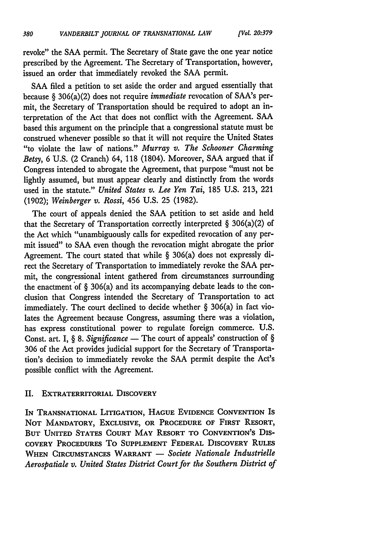revoke" the SAA permit. The Secretary of State gave the one year notice prescribed by the Agreement. The Secretary of Transportation, however, issued an order that immediately revoked the SAA permit.

SAA filed a petition to set aside the order and argued essentially that because § 306(a)(2) does not require *immediate* revocation of SAA's permit, the Secretary of Transportation should be required to adopt an interpretation of the Act that does not conflict with the Agreement. SAA based this argument on the principle that a congressional statute must be construed whenever possible so that it will not require the United States "to violate the law of nations." *Murray v. The Schooner Charming Betsy,* 6 U.S. (2 Cranch) 64, **118** (1804). Moreover, SAA argued that if Congress intended to abrogate the Agreement, that purpose "must not be lightly assumed, but must appear clearly and distinctly from the words used in the statute." *United States v. Lee Yen Tai,* 185 U.S. 213, 221 (1902); *Weinberger v. Rossi,* 456 U.S. 25 (1982).

The court of appeals denied the SAA petition to set aside and held that the Secretary of Transportation correctly interpreted  $\S$  306(a)(2) of the Act which "unambiguously calls for expedited revocation of any permit issued" to SAA even though the revocation might abrogate the prior Agreement. The court stated that while § 306(a) does not expressly direct the Secretary of Transportation to immediately revoke the SAA permit, the congressional intent gathered from circumstances surrounding the enactment of  $\S$  306(a) and its accompanying debate leads to the conclusion that Congress intended the Secretary of Transportation to act immediately. The court declined to decide whether § 306(a) in fact violates the Agreement because Congress, assuming there was a violation, has express constitutional power to regulate foreign commerce. U.S. Const. art. I, § 8. *Significance* - The court of appeals' construction of § 306 of the Act provides judicial support for the Secretary of Transportation's decision to immediately revoke the SAA permit despite the Act's possible conflict with the Agreement.

### II. **EXTRATERRITORIAL DISCOVERY**

**IN TRANSNATIONAL LITIGATION, HAGUE EVIDENCE CONVENTION IS NOT** MANDATORY, **EXCLUSIVE,** OR PROCEDURE **OF** FIRST RESORT, **BUT UNITED STATES COURT MAY** RESORT **TO CONVENTION'S DIS-COVERY PROCEDURES** To **SUPPLEMENT FEDERAL DISCOVERY RULES** WHEN CIRCUMSTANCES WARRANT - Societe Nationale Industrielle *Aerospatiale v. United States District Court for the Southern District of*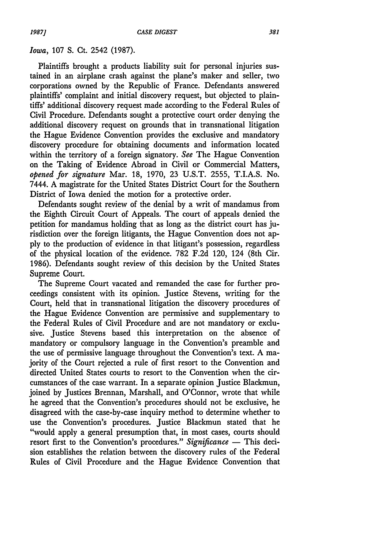#### *Iowa,* 107 S. Ct. 2542 (1987).

Plaintiffs brought a products liability suit for personal injuries sustained in an airplane crash against the plane's maker and seller, two corporations owned by the Republic of France. Defendants answered plaintiffs' complaint and initial discovery request, but objected to plaintiffs' additional discovery request made according to the Federal Rules of Civil Procedure. Defendants sought a protective court order denying the additional discovery request on grounds that in transnational litigation the Hague Evidence Convention provides the exclusive and mandatory discovery procedure for obtaining documents and information located within the territory of a foreign signatory. *See* The Hague Convention on the Taking of Evidence Abroad in Civil or Commercial Matters, *opened for signature* Mar. 18, 1970, 23 U.S.T. 2555, T.I.A.S. No. 7444. A magistrate for the United States District Court for the Southern District of Iowa denied the motion for a protective order.

Defendants sought review of the denial by a writ of mandamus from the Eighth Circuit Court of Appeals. The court of appeals denied the petition for mandamus holding that as long as the district court has jurisdiction over the foreign litigants, the Hague Convention does not apply to the production of evidence in that litigant's possession, regardless of the physical location of the evidence. 782 F.2d 120, 124 (8th Cir. 1986). Defendants sought review of this decision by the United States Supreme Court.

The Supreme Court vacated and remanded the case for further proceedings consistent with its opinion. Justice Stevens, writing for the Court, held that in transnational litigation the discovery procedures of the Hague Evidence Convention are permissive and supplementary to the Federal Rules of Civil Procedure and are not mandatory or exclusive. Justice Stevens based this interpretation on the absence of mandatory or compulsory language in the Convention's preamble and the use of permissive language throughout the Convention's text. A majority of the Court rejected a rule of first resort to the Convention and directed United States courts to resort to the Convention when the circumstances of the case warrant. In a separate opinion Justice Blackmun, joined by Justices Brennan, Marshall, and O'Connor, wrote that while he agreed that the Convention's procedures should not be exclusive, he disagreed with the case-by-case inquiry method to determine whether to use the Convention's procedures. Justice Blackmun stated that he "would apply a general presumption that, in most cases, courts should resort first to the Convention's procedures." *Significance* - This decision establishes the relation between the discovery rules of the Federal Rules of Civil Procedure and the Hague Evidence Convention that

*1987]*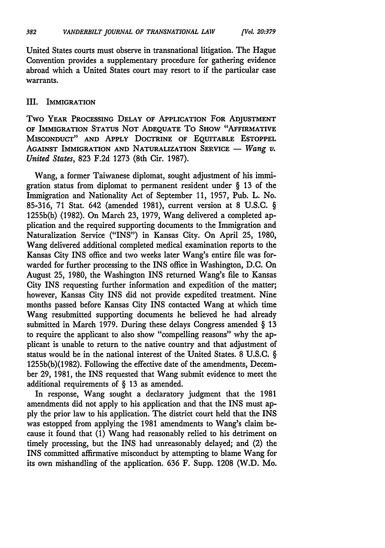United States courts must observe in transnational litigation. The Hague Convention provides a supplementary procedure for gathering evidence abroad which a United States court may resort to if the particular case warrants.

### III. **IMMIGRATION**

Two YEAR **PROCESSING DELAY OF APPLICATION** FOR **ADJUSTMENT OF IMMIGRATION STATUS NOT ADEQUATE To SHOW "AFFIRMATIVE MISCONDUCT" AND APPLY DOCTRINE OF EQUITABLE ESTOPPEL** AGAINST IMMIGRATION AND NATURALIZATION SERVICE - Wang v. *United States,* 823 F.2d 1273 (8th Cir. 1987).

Wang, a former Taiwanese diplomat, sought adjustment of his immigration status from diplomat to permanent resident under § 13 of the Immigration and Nationality Act of September 11, 1957, Pub. L. No. 85-316, 71 Stat. 642 (amended 1981), current version at 8 U.S.C. § 1255b(b) (1982). On March 23, 1979, Wang delivered a completed application and the required supporting documents to the Immigration and Naturalization Service ("INS") in Kansas City. On April 25, 1980, Wang delivered additional completed medical examination reports to the Kansas City INS office and two weeks later Wang's entire file was forwarded for further processing to the INS office in Washington, D.C. On August 25, 1980, the Washington INS returned Wang's file to Kansas City INS requesting further information and expedition of the matter; however, Kansas City INS did not provide expedited treatment. Nine months passed before Kansas City INS contacted Wang at which time Wang resubmitted supporting documents he believed he had already submitted in March 1979. During these delays Congress amended § 13 to require the applicant to also show "compelling reasons" why the applicant is unable to return to the native country and that adjustment of status would be in the national interest of the United States. 8 U.S.C. § 1255b(b)(1982). Following the effective date of the amendments, December 29, 1981, the INS requested that Wang submit evidence to meet the additional requirements of § 13 as amended.

In response, Wang sought a declaratory judgment that the 1981 amendments did not apply to his application and that the INS must apply the prior law to his application. The district court held that the INS was estopped from applying the 1981 amendments to Wang's claim because it found that (1) Wang had reasonably relied to his detriment on timely processing, but the INS had unreasonably delayed; and (2) the INS committed affirmative misconduct by attempting to blame Wang for its own mishandling of the application. 636 F. Supp. 1208 (W.D. Mo.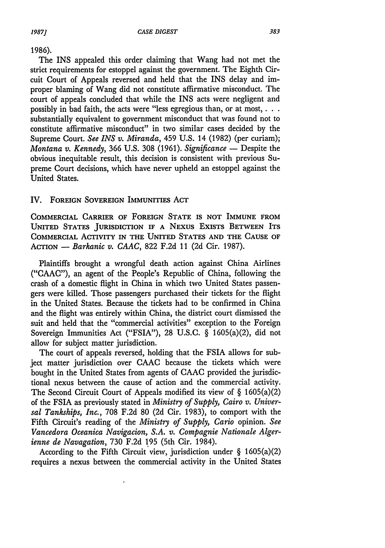#### 1986).

The INS appealed this order claiming that Wang had not met the strict requirements for estoppel against the government. The Eighth Circuit Court of Appeals reversed and held that the INS delay and improper blaming of Wang did not constitute affirmative misconduct. The court of appeals concluded that while the INS acts were negligent and possibly in bad faith, the acts were "less egregious than, or at most,  $\dots$ substantially equivalent to government misconduct that was found not to constitute affirmative misconduct" in two similar cases decided by the Supreme Court. *See INS v. Miranda,* 459 U.S. 14 (1982) (per curiam); *Montana v. Kennedy, 366 U.S. 308 (1961). Significance* - Despite the obvious inequitable result, this decision is consistent with previous Supreme Court decisions, which have never upheld an estoppel against the United States.

### IV. **FOREIGN** SOVEREIGN IMMUNITIES ACT

COMMERCIAL CARRIER OF FOREIGN STATE IS NOT IMMUNE FROM UNITED STATES JURISDICTION IF A NEXUS EXISTS BETWEEN ITS COMMERCIAL ACTIVITY IN THE UNITED STATES **AND** THE **CAUSE** OF ACTION - *Barkanic v. CAAC,* **822** F.2d 11 (2d Cir. 1987).

Plaintiffs brought a wrongful death action against China Airlines ("CAAC"), an agent of the People's Republic of China, following the crash of a domestic flight in China in which two United States passengers were killed. Those passengers purchased their tickets for the flight in the United States. Because the tickets had to be confirmed in China and the flight was entirely within China, the district court dismissed the suit and held that the "commercial activities" exception to the Foreign Sovereign Immunities Act ("FSIA"), **28** U.S.C. § 1605(a)(2), did not allow for subject matter jurisdiction.

The court of appeals reversed, holding that the FSIA allows for subject matter jurisdiction over CAAC because the tickets which were bought in the United States from agents of CAAC provided the jurisdictional nexus between the cause of action and the commercial activity. The Second Circuit Court of Appeals modified its view of § 1605(a)(2) of the FSIA as previously stated in *Ministry of Supply, Cairo v. Universal Tankships, Inc.,* 708 F.2d 80 (2d Cir. 1983), to comport with the Fifth Circuit's reading of the *Ministry of Supply, Cario* opinion. *See Vancedora Oceanica Navigacion, S.A. v. Compagnie Nationale Algerienne de Navagation,* 730 F.2d 195 (5th Cir. 1984).

According to the Fifth Circuit view, jurisdiction under  $\S$  1605(a)(2) requires a nexus between the commercial activity in the United States